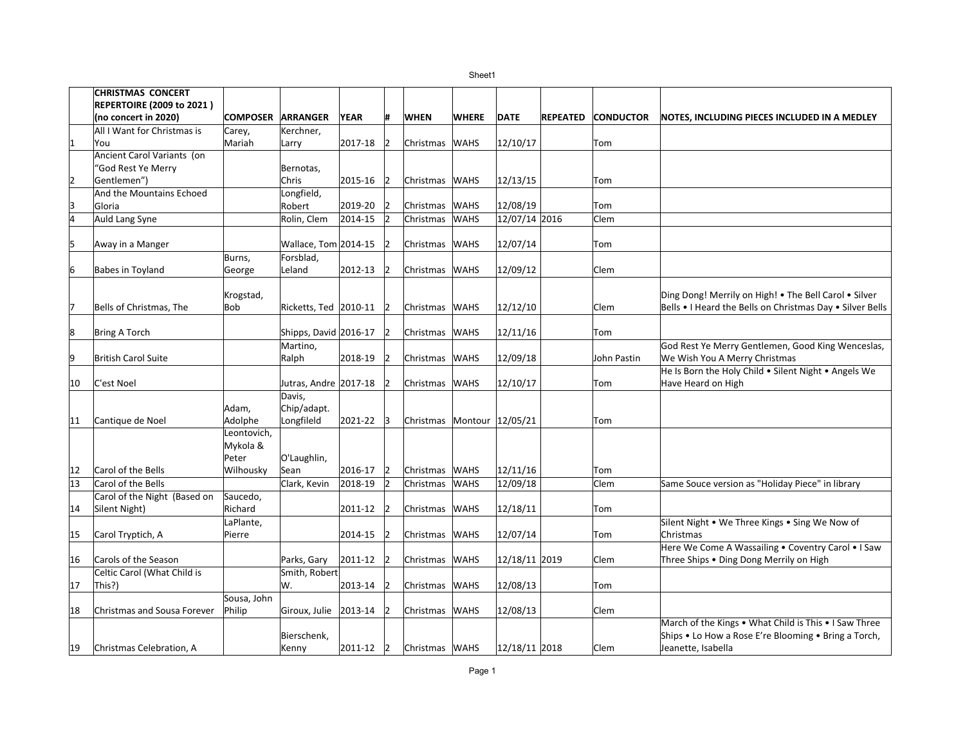|                | <b>CHRISTMAS CONCERT</b>          |                          |                         |             |                |                            |              |               |                 |                  |                                                           |
|----------------|-----------------------------------|--------------------------|-------------------------|-------------|----------------|----------------------------|--------------|---------------|-----------------|------------------|-----------------------------------------------------------|
|                | <b>REPERTOIRE (2009 to 2021)</b>  |                          |                         |             |                |                            |              |               |                 |                  |                                                           |
|                | (no concert in 2020)              | <b>COMPOSER ARRANGER</b> |                         | <b>YEAR</b> | Ħ.             | <b>WHEN</b>                | <b>WHERE</b> | <b>DATE</b>   | <b>REPEATED</b> | <b>CONDUCTOR</b> | NOTES, INCLUDING PIECES INCLUDED IN A MEDLEY              |
|                | All I Want for Christmas is       | Carey,                   | Kerchner,               |             |                |                            |              |               |                 |                  |                                                           |
| 1              | You                               | Mariah                   | Larry                   | 2017-18     | 2              | Christmas WAHS             |              | 12/10/17      |                 | Tom              |                                                           |
|                | <b>Ancient Carol Variants (on</b> |                          |                         |             |                |                            |              |               |                 |                  |                                                           |
|                | 'God Rest Ye Merry                |                          | Bernotas,               |             |                |                            |              |               |                 |                  |                                                           |
| 2              | Gentlemen")                       |                          | Chris                   | 2015-16     | 12             | Christmas   WAHS           |              | 12/13/15      |                 | Tom              |                                                           |
|                | And the Mountains Echoed          |                          | Longfield,              |             |                |                            |              |               |                 |                  |                                                           |
| 13             | Gloria                            |                          | Robert                  | 2019-20     |                | Christmas                  | <b>WAHS</b>  | 12/08/19      |                 | Tom              |                                                           |
| $\overline{4}$ | Auld Lang Syne                    |                          | Rolin, Clem             | 2014-15     | 12             | Christmas                  | <b>WAHS</b>  | 12/07/14 2016 |                 | lClem            |                                                           |
|                |                                   |                          |                         |             |                |                            |              |               |                 |                  |                                                           |
| 5              | Away in a Manger                  |                          | Wallace, Tom 2014-15    |             |                | Christmas                  | <b>WAHS</b>  | 12/07/14      |                 | Tom              |                                                           |
|                |                                   | Burns,                   | Forsblad,               |             |                |                            |              |               |                 |                  |                                                           |
| 6              | <b>Babes in Toyland</b>           | George                   | Leland                  | 2012-13     |                | Christmas                  | <b>WAHS</b>  | 12/09/12      |                 | lClem            |                                                           |
|                |                                   |                          |                         |             |                |                            |              |               |                 |                  |                                                           |
|                |                                   | Krogstad,                |                         |             |                |                            |              |               |                 |                  | Ding Dong! Merrily on High! . The Bell Carol . Silver     |
| 17             | Bells of Christmas, The           | <b>Bob</b>               | Ricketts, Ted   2010-11 |             | 12             | Christmas WAHS             |              | 12/12/10      |                 | Clem             | Bells • I Heard the Bells on Christmas Day • Silver Bells |
|                |                                   |                          |                         |             |                |                            |              |               |                 |                  |                                                           |
| 8              | <b>Bring A Torch</b>              |                          | Shipps, David 2016-17   |             |                | Christmas                  | <b>WAHS</b>  | 12/11/16      |                 | Tom              |                                                           |
|                |                                   |                          | Martino,                |             |                |                            |              |               |                 |                  | God Rest Ye Merry Gentlemen, Good King Wenceslas,         |
| 9              | <b>British Carol Suite</b>        |                          | Ralph                   | 2018-19     | 12             | Christmas                  | <b>WAHS</b>  | 12/09/18      |                 | John Pastin      | We Wish You A Merry Christmas                             |
|                |                                   |                          |                         |             |                |                            |              |               |                 |                  | He Is Born the Holy Child . Silent Night . Angels We      |
| 10             | C'est Noel                        |                          | Jutras, Andre 2017-18   |             |                | Christmas WAHS             |              | 12/10/17      |                 | Tom              | Have Heard on High                                        |
|                |                                   |                          | Davis,                  |             |                |                            |              |               |                 |                  |                                                           |
|                |                                   | Adam,                    | Chip/adapt.             |             |                |                            |              |               |                 |                  |                                                           |
| 11             | Cantique de Noel                  | Adolphe<br>Leontovich,   | Longfileld              | 2021-22     | 3              | Christmas Montour 12/05/21 |              |               |                 | Tom              |                                                           |
|                |                                   | Mykola &                 |                         |             |                |                            |              |               |                 |                  |                                                           |
|                |                                   | Peter                    | O'Laughlin,             |             |                |                            |              |               |                 |                  |                                                           |
| 12             | Carol of the Bells                | Wilhousky                | Sean                    | 2016-17     | 2              | Christmas WAHS             |              | 12/11/16      |                 | Tom              |                                                           |
| 13             | Carol of the Bells                |                          | Clark, Kevin            | 2018-19     | $\overline{2}$ | Christmas                  | <b>WAHS</b>  | 12/09/18      |                 | Clem             | Same Souce version as "Holiday Piece" in library          |
|                | Carol of the Night (Based on      | Saucedo,                 |                         |             |                |                            |              |               |                 |                  |                                                           |
|                | Silent Night)                     | Richard                  |                         | 2011-12     | 12             | Christmas WAHS             |              | 12/18/11      |                 |                  |                                                           |
| 14             |                                   | LaPlante,                |                         |             |                |                            |              |               |                 | Tom              | Silent Night . We Three Kings . Sing We Now of            |
| 15             | Carol Tryptich, A                 | Pierre                   |                         | 2014-15     | 12             | Christmas                  | <b>WAHS</b>  | 12/07/14      |                 | Tom              | Christmas                                                 |
|                |                                   |                          |                         |             |                |                            |              |               |                 |                  | Here We Come A Wassailing . Coventry Carol . I Saw        |
| 16             | Carols of the Season              |                          | Parks, Gary             | 2011-12     | 12             | Christmas                  | <b>WAHS</b>  | 12/18/11 2019 |                 | lClem            | Three Ships . Ding Dong Merrily on High                   |
|                | Celtic Carol (What Child is       |                          | Smith, Robert           |             |                |                            |              |               |                 |                  |                                                           |
| 17             | This?)                            |                          | W.                      | 2013-14     | 12             | Christmas WAHS             |              | 12/08/13      |                 | Tom              |                                                           |
|                |                                   | Sousa, John              |                         |             |                |                            |              |               |                 |                  |                                                           |
| 18             | Christmas and Sousa Forever       | Philip                   | Giroux, Julie           | 2013-14     | 12             | Christmas                  | <b>WAHS</b>  | 12/08/13      |                 | Clem             |                                                           |
|                |                                   |                          |                         |             |                |                            |              |               |                 |                  | March of the Kings . What Child is This . I Saw Three     |
|                |                                   |                          | Bierschenk,             |             |                |                            |              |               |                 |                  | Ships • Lo How a Rose E're Blooming • Bring a Torch,      |
| 19             | Christmas Celebration, A          |                          | Kenny                   | 2011-12     | $ 2\rangle$    | Christmas WAHS             |              | 12/18/11 2018 |                 | Clem             | Jeanette, Isabella                                        |
|                |                                   |                          |                         |             |                |                            |              |               |                 |                  |                                                           |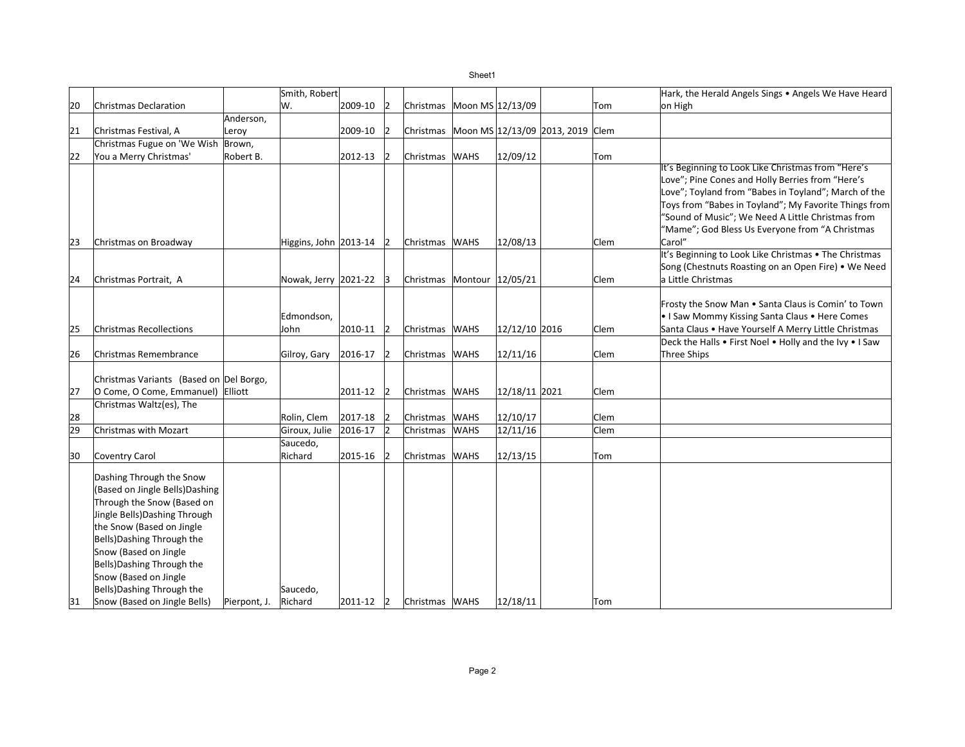Sheet1

|    |                                                              |              | Smith, Robert             |         |                |                            |             |               |                                            |             | Hark, the Herald Angels Sings . Angels We Have Heard            |
|----|--------------------------------------------------------------|--------------|---------------------------|---------|----------------|----------------------------|-------------|---------------|--------------------------------------------|-------------|-----------------------------------------------------------------|
| 20 | Christmas Declaration                                        |              | W.                        | 2009-10 | 12             | Christmas Moon MS 12/13/09 |             |               |                                            | Tom         | on High                                                         |
|    |                                                              | Anderson,    |                           |         |                |                            |             |               |                                            |             |                                                                 |
| 21 | Christmas Festival, A                                        | Leroy        |                           | 2009-10 | 12             |                            |             |               | Christmas Moon MS 12/13/09 2013, 2019 Clem |             |                                                                 |
|    | Christmas Fugue on 'We Wish                                  | Brown,       |                           |         |                |                            |             |               |                                            |             |                                                                 |
| 22 | You a Merry Christmas'                                       | Robert B.    |                           | 2012-13 |                | Christmas WAHS             |             | 12/09/12      |                                            | Tom         |                                                                 |
|    |                                                              |              |                           |         |                |                            |             |               |                                            |             | It's Beginning to Look Like Christmas from "Here's              |
|    |                                                              |              |                           |         |                |                            |             |               |                                            |             | Love"; Pine Cones and Holly Berries from "Here's                |
|    |                                                              |              |                           |         |                |                            |             |               |                                            |             | Love"; Toyland from "Babes in Toyland"; March of the            |
|    |                                                              |              |                           |         |                |                            |             |               |                                            |             | Toys from "Babes in Toyland"; My Favorite Things from           |
|    |                                                              |              |                           |         |                |                            |             |               |                                            |             | "Sound of Music"; We Need A Little Christmas from               |
|    |                                                              |              |                           |         |                |                            |             |               |                                            |             | "Mame"; God Bless Us Everyone from "A Christmas                 |
| 23 | Christmas on Broadway                                        |              | Higgins, John $ 2013-14 $ |         | 12             | Christmas WAHS             |             | 12/08/13      |                                            | Clem        | Carol"<br>It's Beginning to Look Like Christmas . The Christmas |
|    |                                                              |              |                           |         |                |                            |             |               |                                            |             | Song (Chestnuts Roasting on an Open Fire) • We Need             |
| 24 | Christmas Portrait, A                                        |              | Nowak, Jerry 2021-22      |         | 13             | Christmas Montour 12/05/21 |             |               |                                            | Clem        | a Little Christmas                                              |
|    |                                                              |              |                           |         |                |                            |             |               |                                            |             |                                                                 |
|    |                                                              |              |                           |         |                |                            |             |               |                                            |             | Frosty the Snow Man . Santa Claus is Comin' to Town             |
|    |                                                              |              | Edmondson,                |         |                |                            |             |               |                                            |             | • I Saw Mommy Kissing Santa Claus • Here Comes                  |
| 25 | <b>Christmas Recollections</b>                               |              | John                      | 2010-11 | 12             | Christmas WAHS             |             | 12/12/10 2016 |                                            | <b>Clem</b> | Santa Claus . Have Yourself A Merry Little Christmas            |
|    |                                                              |              |                           |         |                |                            |             |               |                                            |             | Deck the Halls . First Noel . Holly and the Ivy . I Saw         |
| 26 | Christmas Remembrance                                        |              | Gilroy, Gary              | 2016-17 | 12             | Christmas WAHS             |             | 12/11/16      |                                            | Clem        | Three Ships                                                     |
|    |                                                              |              |                           |         |                |                            |             |               |                                            |             |                                                                 |
|    | Christmas Variants (Based on Del Borgo,                      |              |                           |         |                |                            |             |               |                                            |             |                                                                 |
| 27 | O Come, O Come, Emmanuel) Elliott                            |              |                           | 2011-12 | 12             | Christmas WAHS             |             | 12/18/11 2021 |                                            | Clem        |                                                                 |
|    | Christmas Waltz(es), The                                     |              |                           |         |                |                            |             |               |                                            |             |                                                                 |
| 28 |                                                              |              | Rolin, Clem               | 2017-18 |                | Christmas WAHS             |             | 12/10/17      |                                            | Clem        |                                                                 |
| 29 | Christmas with Mozart                                        |              | Giroux, Julie             | 2016-17 | $\overline{2}$ | Christmas                  | <b>WAHS</b> | 12/11/16      |                                            | Clem        |                                                                 |
|    |                                                              |              | Saucedo,                  |         |                |                            |             |               |                                            |             |                                                                 |
| 30 | <b>Coventry Carol</b>                                        |              | Richard                   | 2015-16 |                | Christmas WAHS             |             | 12/13/15      |                                            | Tom         |                                                                 |
|    |                                                              |              |                           |         |                |                            |             |               |                                            |             |                                                                 |
|    | Dashing Through the Snow                                     |              |                           |         |                |                            |             |               |                                            |             |                                                                 |
|    | (Based on Jingle Bells)Dashing<br>Through the Snow (Based on |              |                           |         |                |                            |             |               |                                            |             |                                                                 |
|    | Jingle Bells) Dashing Through                                |              |                           |         |                |                            |             |               |                                            |             |                                                                 |
|    | the Snow (Based on Jingle                                    |              |                           |         |                |                            |             |               |                                            |             |                                                                 |
|    | Bells) Dashing Through the                                   |              |                           |         |                |                            |             |               |                                            |             |                                                                 |
|    | Snow (Based on Jingle                                        |              |                           |         |                |                            |             |               |                                            |             |                                                                 |
|    | Bells) Dashing Through the                                   |              |                           |         |                |                            |             |               |                                            |             |                                                                 |
|    | Snow (Based on Jingle                                        |              |                           |         |                |                            |             |               |                                            |             |                                                                 |
|    | Bells) Dashing Through the                                   |              | Saucedo,                  |         |                |                            |             |               |                                            |             |                                                                 |
| 31 | Snow (Based on Jingle Bells)                                 | Pierpont, J. | Richard                   | 2011-12 | 2              | Christmas WAHS             |             | 12/18/11      |                                            | Tom         |                                                                 |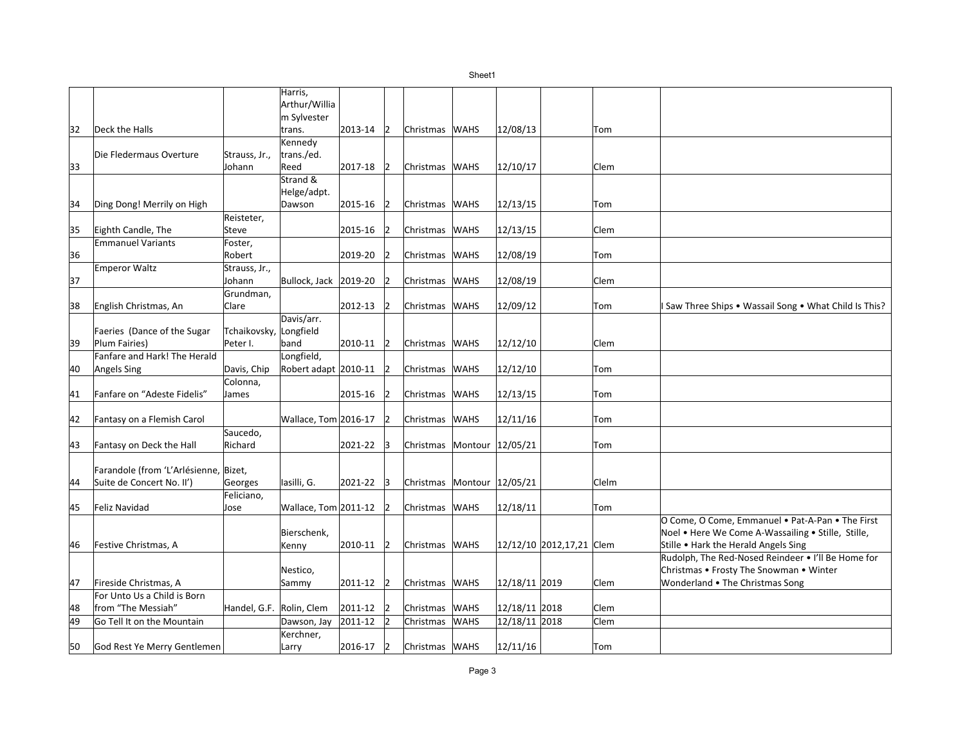|    |                                       |                          | Harris,               |         |                |                            |             |               |                          |       |                                                        |
|----|---------------------------------------|--------------------------|-----------------------|---------|----------------|----------------------------|-------------|---------------|--------------------------|-------|--------------------------------------------------------|
|    |                                       |                          | Arthur/Willia         |         |                |                            |             |               |                          |       |                                                        |
|    |                                       |                          | m Sylvester           |         |                |                            |             |               |                          |       |                                                        |
| 32 | Deck the Halls                        |                          | trans.                | 2013-14 | $ 2\rangle$    | Christmas WAHS             |             | 12/08/13      |                          | Tom   |                                                        |
|    |                                       |                          | Kennedy               |         |                |                            |             |               |                          |       |                                                        |
|    | Die Fledermaus Overture               | Strauss, Jr.,            | trans./ed.            |         |                |                            |             |               |                          |       |                                                        |
| 33 |                                       | Johann                   | Reed                  | 2017-18 | $\overline{2}$ | Christmas WAHS             |             | 12/10/17      |                          | Clem  |                                                        |
|    |                                       |                          | Strand &              |         |                |                            |             |               |                          |       |                                                        |
|    |                                       |                          | Helge/adpt.           |         |                |                            |             |               |                          |       |                                                        |
| 34 | Ding Dong! Merrily on High            |                          | Dawson                | 2015-16 | 2              | Christmas WAHS             |             | 12/13/15      |                          | Tom   |                                                        |
|    |                                       | Reisteter,               |                       |         |                |                            |             |               |                          |       |                                                        |
| 35 | Eighth Candle, The                    | Steve                    |                       | 2015-16 | 12             | Christmas WAHS             |             | 12/13/15      |                          | Clem  |                                                        |
|    | <b>Emmanuel Variants</b>              | Foster,                  |                       |         |                |                            |             |               |                          |       |                                                        |
| 36 |                                       | Robert                   |                       | 2019-20 | 12             | Christmas WAHS             |             | 12/08/19      |                          | Tom   |                                                        |
|    | <b>Emperor Waltz</b>                  | Strauss, Jr.,            |                       |         |                |                            |             |               |                          |       |                                                        |
| 37 |                                       | Johann                   | Bullock, Jack 2019-20 |         | 12             | Christmas WAHS             |             | 12/08/19      |                          | Clem  |                                                        |
|    |                                       | Grundman,                |                       |         |                |                            |             |               |                          |       |                                                        |
| 38 | English Christmas, An                 | Clare                    |                       | 2012-13 | $\overline{2}$ | Christmas WAHS             |             | 12/09/12      |                          | Tom   | I Saw Three Ships . Wassail Song . What Child Is This? |
|    |                                       |                          | Davis/arr.            |         |                |                            |             |               |                          |       |                                                        |
|    | Faeries (Dance of the Sugar           | Tchaikovsky, Longfield   |                       |         |                |                            |             |               |                          |       |                                                        |
| 39 | Plum Fairies)                         | Peter I.                 | band                  | 2010-11 | 12             | Christmas WAHS             |             | 12/12/10      |                          | Clem  |                                                        |
|    | Fanfare and Hark! The Herald          |                          | Longfield,            |         |                |                            |             |               |                          |       |                                                        |
| 40 | <b>Angels Sing</b>                    | Davis, Chip              | Robert adapt 2010-11  |         | 12             | Christmas WAHS             |             | 12/12/10      |                          | Tom   |                                                        |
|    |                                       | Colonna,                 |                       |         |                |                            |             |               |                          |       |                                                        |
| 41 | Fanfare on "Adeste Fidelis"           | James                    |                       | 2015-16 | 12             | Christmas WAHS             |             | 12/13/15      |                          | Tom   |                                                        |
|    |                                       |                          |                       |         |                |                            |             |               |                          |       |                                                        |
| 42 | Fantasy on a Flemish Carol            |                          | Wallace, Tom 2016-17  |         | 12             | Christmas                  | <b>WAHS</b> | 12/11/16      |                          | Tom   |                                                        |
|    |                                       | Saucedo,                 |                       |         |                |                            |             |               |                          |       |                                                        |
| 43 | Fantasy on Deck the Hall              | Richard                  |                       | 2021-22 | 13             | Christmas Montour 12/05/21 |             |               |                          | Tom   |                                                        |
|    |                                       |                          |                       |         |                |                            |             |               |                          |       |                                                        |
|    | Farandole (from 'L'Arlésienne, Bizet, |                          |                       |         |                |                            |             |               |                          |       |                                                        |
| 44 | Suite de Concert No. II')             | Georges                  | Iasilli, G.           | 2021-22 | 3              | Christmas Montour 12/05/21 |             |               |                          | Clelm |                                                        |
|    |                                       | Feliciano,               |                       |         |                |                            |             |               |                          |       |                                                        |
| 45 | Feliz Navidad                         | Jose                     | Wallace, Tom 2011-12  |         | 2              | Christmas WAHS             |             | 12/18/11      |                          | Tom   |                                                        |
|    |                                       |                          |                       |         |                |                            |             |               |                          |       | O Come, O Come, Emmanuel . Pat-A-Pan . The First       |
|    |                                       |                          | Bierschenk,           |         |                |                            |             |               |                          |       | Noel • Here We Come A-Wassailing • Stille, Stille,     |
| 46 | Festive Christmas, A                  |                          | Kenny                 | 2010-11 | 12             | Christmas WAHS             |             |               | 12/12/10 2012,17,21 Clem |       | Stille • Hark the Herald Angels Sing                   |
|    |                                       |                          |                       |         |                |                            |             |               |                          |       | Rudolph, The Red-Nosed Reindeer . I'll Be Home for     |
|    |                                       |                          | Nestico,              |         |                |                            |             |               |                          |       | Christmas • Frosty The Snowman • Winter                |
| 47 | Fireside Christmas, A                 |                          | Sammy                 | 2011-12 | $\overline{2}$ | Christmas WAHS             |             | 12/18/11 2019 |                          | Clem  | Wonderland . The Christmas Song                        |
|    | For Unto Us a Child is Born           |                          |                       |         |                |                            |             |               |                          |       |                                                        |
| 48 | from "The Messiah"                    | Handel, G.F. Rolin, Clem |                       | 2011-12 | 12             | Christmas                  | <b>WAHS</b> | 12/18/11 2018 |                          | Clem  |                                                        |
| 49 | Go Tell It on the Mountain            |                          | Dawson, Jay           | 2011-12 | 2              | Christmas                  | <b>WAHS</b> | 12/18/11 2018 |                          | Clem  |                                                        |
|    |                                       |                          | Kerchner,             |         |                |                            |             |               |                          |       |                                                        |
| 50 | God Rest Ye Merry Gentlemen           |                          | Larry                 | 2016-17 | $\overline{2}$ | Christmas WAHS             |             | 12/11/16      |                          | Tom   |                                                        |
|    |                                       |                          |                       |         |                |                            |             |               |                          |       |                                                        |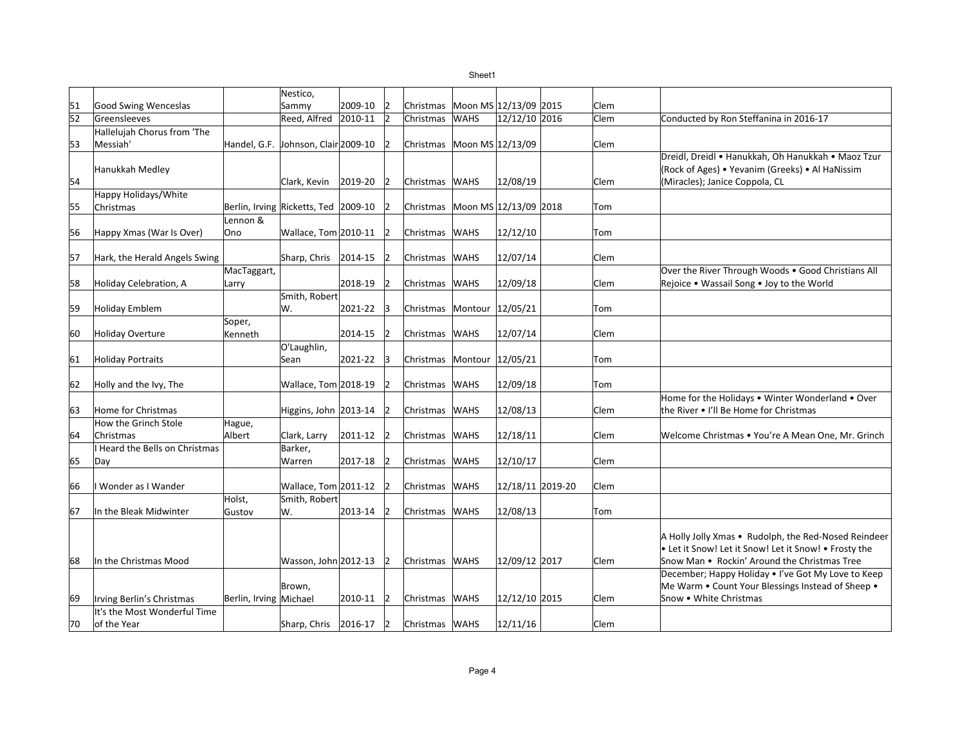Sheet1

| 51              | Good Swing Wenceslas                    |                        | Nestico,<br>Sammy                    | 2009-10 | 12          |                                 |             | Moon MS 12/13/09 2015 | Clem |                                                       |
|-----------------|-----------------------------------------|------------------------|--------------------------------------|---------|-------------|---------------------------------|-------------|-----------------------|------|-------------------------------------------------------|
| $\overline{52}$ | Greensleeves                            |                        | Reed, Alfred                         | 2010-11 | 12          | Christmas<br>Christmas          | <b>WAHS</b> | 12/12/10 2016         | Clem |                                                       |
|                 |                                         |                        |                                      |         |             |                                 |             |                       |      | Conducted by Ron Steffanina in 2016-17                |
| 53              | Hallelujah Chorus from 'The<br>Messiah' |                        | Handel, G.F. Johnson, Clair 2009-10  |         |             | Christmas Moon MS 12/13/09      |             |                       | Clem |                                                       |
|                 |                                         |                        |                                      |         |             |                                 |             |                       |      | Dreidl, Dreidl • Hanukkah, Oh Hanukkah • Maoz Tzur    |
|                 | Hanukkah Medley                         |                        |                                      |         |             |                                 |             |                       |      | (Rock of Ages) • Yevanim (Greeks) • Al HaNissim       |
| 54              |                                         |                        | Clark, Kevin                         | 2019-20 | 12          | Christmas WAHS                  |             | 12/08/19              | Clem | (Miracles); Janice Coppola, CL                        |
|                 | Happy Holidays/White                    |                        |                                      |         |             |                                 |             |                       |      |                                                       |
| 55              | Christmas                               |                        | Berlin, Irving Ricketts, Ted 2009-10 |         |             | Christmas Moon MS 12/13/09 2018 |             |                       | Tom  |                                                       |
|                 |                                         | Lennon &               |                                      |         |             |                                 |             |                       |      |                                                       |
| 56              | Happy Xmas (War Is Over)                | Ono                    | Wallace, Tom 2010-11                 |         | 12          | Christmas                       | <b>WAHS</b> | 12/12/10              | Tom  |                                                       |
|                 |                                         |                        |                                      |         |             |                                 |             |                       |      |                                                       |
| 57              | Hark, the Herald Angels Swing           |                        | Sharp, Chris                         | 2014-15 | 12          | Christmas                       | <b>WAHS</b> | 12/07/14              | Clem |                                                       |
|                 |                                         | MacTaggart,            |                                      |         |             |                                 |             |                       |      | Over the River Through Woods . Good Christians All    |
| 58              | Holiday Celebration, A                  | Larry                  |                                      | 2018-19 | 12          | Christmas WAHS                  |             | 12/09/18              | Clem | Rejoice . Wassail Song . Joy to the World             |
|                 |                                         |                        | Smith, Robert                        |         |             |                                 |             |                       |      |                                                       |
| 59              | <b>Holiday Emblem</b>                   |                        | W.                                   | 2021-22 | 3           | Christmas Montour 12/05/21      |             |                       | Tom  |                                                       |
|                 |                                         | Soper,                 |                                      |         |             |                                 |             |                       |      |                                                       |
| 60              | <b>Holiday Overture</b>                 | Kenneth                |                                      | 2014-15 | 12          | Christmas WAHS                  |             | 12/07/14              | Clem |                                                       |
|                 |                                         |                        | O'Laughlin,                          |         |             |                                 |             |                       |      |                                                       |
| 61              | <b>Holiday Portraits</b>                |                        | Sean                                 | 2021-22 | lЗ          | Christmas Montour 12/05/21      |             |                       | Tom  |                                                       |
|                 |                                         |                        |                                      |         |             |                                 |             |                       |      |                                                       |
| 62              | Holly and the Ivy, The                  |                        | Wallace, Tom 2018-19                 |         |             | Christmas                       | <b>WAHS</b> | 12/09/18              | Tom  |                                                       |
|                 |                                         |                        |                                      |         |             |                                 |             |                       |      | Home for the Holidays . Winter Wonderland . Over      |
| 63              | Home for Christmas                      |                        | Higgins, John 2013-14                |         | 12          | Christmas                       | <b>WAHS</b> | 12/08/13              | Clem | the River • I'll Be Home for Christmas                |
|                 | How the Grinch Stole                    | Hague,                 |                                      |         |             |                                 |             |                       |      |                                                       |
| 64              | Christmas                               | Albert                 | Clark, Larry                         | 2011-12 |             | Christmas                       | <b>WAHS</b> | 12/18/11              | Clem | Welcome Christmas . You're A Mean One, Mr. Grinch     |
|                 | <b>I Heard the Bells on Christmas</b>   |                        | Barker,                              |         |             |                                 |             |                       |      |                                                       |
| 65              | Day                                     |                        | Warren                               | 2017-18 |             | Christmas                       | <b>WAHS</b> | 12/10/17              | Clem |                                                       |
| 66              | Wonder as I Wander                      |                        | Wallace, Tom 2011-12                 |         | 12          | Christmas                       | <b>WAHS</b> | 12/18/11 2019-20      | Clem |                                                       |
|                 |                                         | Holst,                 | Smith, Robert                        |         |             |                                 |             |                       |      |                                                       |
| 67              | In the Bleak Midwinter                  | Gustov                 | W.                                   | 2013-14 | 12          | Christmas                       | <b>WAHS</b> | 12/08/13              | Tom  |                                                       |
|                 |                                         |                        |                                      |         |             |                                 |             |                       |      |                                                       |
|                 |                                         |                        |                                      |         |             |                                 |             |                       |      | A Holly Jolly Xmas . Rudolph, the Red-Nosed Reindeer  |
|                 |                                         |                        |                                      |         |             |                                 |             |                       |      | . Let it Snow! Let it Snow! Let it Snow! • Frosty the |
| 68              | In the Christmas Mood                   |                        | Wasson, John 2012-13                 |         | 12          | Christmas WAHS                  |             | 12/09/12 2017         | Clem | Snow Man • Rockin' Around the Christmas Tree          |
|                 |                                         |                        |                                      |         |             |                                 |             |                       |      | December; Happy Holiday . I've Got My Love to Keep    |
|                 |                                         |                        | Brown,                               |         |             |                                 |             |                       |      | Me Warm . Count Your Blessings Instead of Sheep.      |
| 69              | Irving Berlin's Christmas               | Berlin, Irving Michael |                                      | 2010-11 | $\vert$ 2   | Christmas WAHS                  |             | 12/12/10 2015         | Clem | Snow • White Christmas                                |
|                 | It's the Most Wonderful Time            |                        |                                      |         |             |                                 |             |                       |      |                                                       |
| 70              | of the Year                             |                        | Sharp, Chris 2016-17                 |         | $ 2\rangle$ | Christmas WAHS                  |             | 12/11/16              | Clem |                                                       |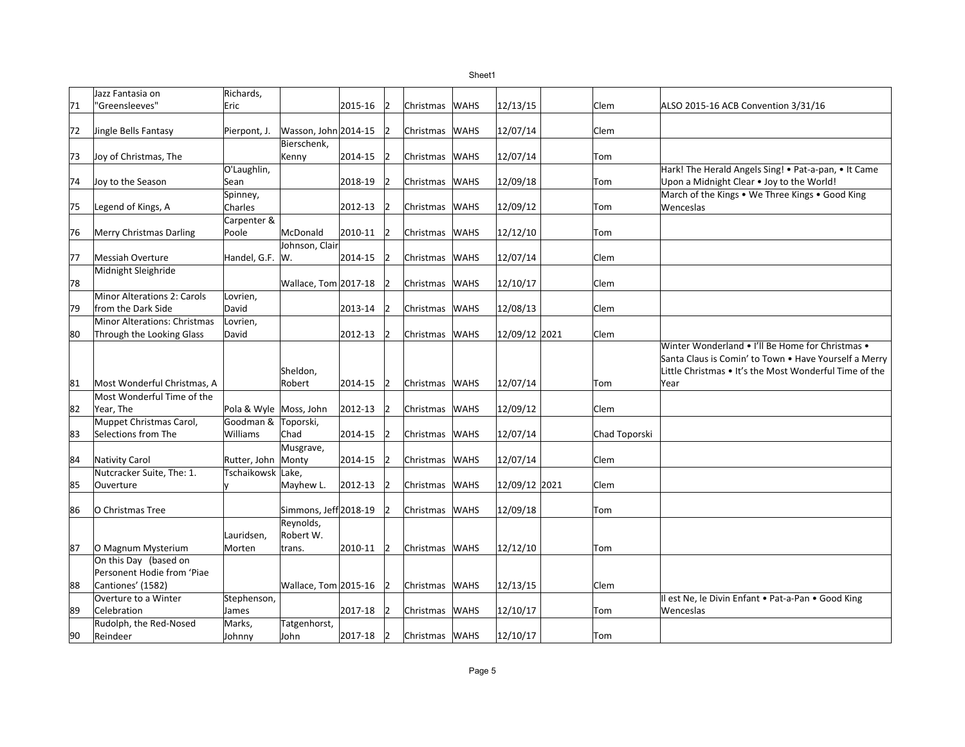|    | Jazz Fantasia on                   | Richards,              |                       |         |                |                |             |               |               |                                                        |
|----|------------------------------------|------------------------|-----------------------|---------|----------------|----------------|-------------|---------------|---------------|--------------------------------------------------------|
| 71 | "Greensleeves"                     | Eric                   |                       | 2015-16 | 12             | Christmas      | <b>WAHS</b> | 12/13/15      | Clem          | ALSO 2015-16 ACB Convention 3/31/16                    |
|    |                                    |                        |                       |         |                |                |             |               |               |                                                        |
| 72 | Jingle Bells Fantasy               | Pierpont, J.           | Wasson, John 2014-15  |         |                | Christmas      | <b>WAHS</b> | 12/07/14      | Clem          |                                                        |
|    |                                    |                        | Bierschenk,           |         |                |                |             |               |               |                                                        |
| 73 | Joy of Christmas, The              |                        | Kenny                 | 2014-15 | 12             | Christmas WAHS |             | 12/07/14      | Tom           |                                                        |
|    |                                    | O'Laughlin,            |                       |         |                |                |             |               |               | Hark! The Herald Angels Sing! . Pat-a-pan, . It Came   |
| 74 | Joy to the Season                  | Sean                   |                       | 2018-19 | $\overline{2}$ | Christmas WAHS |             | 12/09/18      | Tom           | Upon a Midnight Clear . Joy to the World!              |
|    |                                    | Spinney,               |                       |         |                |                |             |               |               | March of the Kings • We Three Kings • Good King        |
| 75 | Legend of Kings, A                 | Charles                |                       | 2012-13 |                | Christmas      | <b>WAHS</b> | 12/09/12      | Tom           | Wenceslas                                              |
|    |                                    | Carpenter &            |                       |         |                |                |             |               |               |                                                        |
| 76 | <b>Merry Christmas Darling</b>     | Poole                  | McDonald              | 2010-11 | 12             | Christmas      | <b>WAHS</b> | 12/12/10      | Tom           |                                                        |
|    |                                    |                        | Johnson, Clair        |         |                |                |             |               |               |                                                        |
| 77 | <b>Messiah Overture</b>            | Handel, G.F. W.        |                       | 2014-15 |                | Christmas WAHS |             | 12/07/14      | Clem          |                                                        |
|    | Midnight Sleighride                |                        |                       |         |                |                |             |               |               |                                                        |
| 78 |                                    |                        | Wallace, Tom 2017-18  |         | 12             | Christmas WAHS |             | 12/10/17      | Clem          |                                                        |
|    | <b>Minor Alterations 2: Carols</b> | Lovrien,               |                       |         |                |                |             |               |               |                                                        |
| 79 | from the Dark Side                 | David                  |                       | 2013-14 |                | Christmas WAHS |             | 12/08/13      | Clem          |                                                        |
|    | Minor Alterations: Christmas       | Lovrien,               |                       |         |                |                |             |               |               |                                                        |
| 80 | Through the Looking Glass          | David                  |                       | 2012-13 | 12             | Christmas      | <b>WAHS</b> | 12/09/12 2021 | Clem          |                                                        |
|    |                                    |                        |                       |         |                |                |             |               |               | Winter Wonderland • I'll Be Home for Christmas •       |
|    |                                    |                        |                       |         |                |                |             |               |               | Santa Claus is Comin' to Town . Have Yourself a Merry  |
|    |                                    |                        | Sheldon,              |         |                |                |             |               |               | Little Christmas • It's the Most Wonderful Time of the |
| 81 | Most Wonderful Christmas, A        |                        | Robert                | 2014-15 | 12             | Christmas WAHS |             | 12/07/14      | Tom           | Year                                                   |
|    | Most Wonderful Time of the         |                        |                       |         |                |                |             |               |               |                                                        |
| 82 | Year, The                          | Pola & Wyle Moss, John |                       | 2012-13 | 12             | Christmas WAHS |             | 12/09/12      | Clem          |                                                        |
|    | Muppet Christmas Carol,            | Goodman & Toporski,    |                       |         |                |                |             |               |               |                                                        |
| 83 | Selections from The                | Williams               | Chad                  | 2014-15 |                | Christmas      | <b>WAHS</b> | 12/07/14      | Chad Toporski |                                                        |
|    |                                    |                        | Musgrave,             |         |                |                |             |               |               |                                                        |
| 84 | <b>Nativity Carol</b>              | Rutter, John Monty     |                       | 2014-15 |                | Christmas      | <b>WAHS</b> | 12/07/14      | lClem         |                                                        |
|    | Nutcracker Suite, The: 1.          | Tschaikowsk Lake,      |                       |         |                |                |             |               |               |                                                        |
| 85 | Ouverture                          |                        | Mayhew L.             | 2012-13 | 12             | Christmas WAHS |             | 12/09/12 2021 | lClem         |                                                        |
|    |                                    |                        |                       |         |                |                |             |               |               |                                                        |
| 86 | O Christmas Tree                   |                        | Simmons, Jeff 2018-19 |         |                | Christmas WAHS |             | 12/09/18      | Tom           |                                                        |
|    |                                    |                        | Reynolds,             |         |                |                |             |               |               |                                                        |
|    |                                    | Lauridsen,             | Robert W.             |         |                |                |             |               |               |                                                        |
| 87 | O Magnum Mysterium                 | Morten                 | trans.                | 2010-11 | 12             | Christmas WAHS |             | 12/12/10      | Tom           |                                                        |
|    | On this Day (based on              |                        |                       |         |                |                |             |               |               |                                                        |
|    | Personent Hodie from 'Piae         |                        |                       |         |                |                |             |               |               |                                                        |
| 88 | Cantiones' (1582)                  |                        | Wallace, Tom 2015-16  |         |                | Christmas WAHS |             | 12/13/15      | Clem          |                                                        |
|    | Overture to a Winter               | Stephenson,            |                       |         |                |                |             |               |               | Il est Ne, le Divin Enfant . Pat-a-Pan . Good King     |
| 89 | Celebration                        | James                  |                       | 2017-18 | 12             | Christmas      | <b>WAHS</b> | 12/10/17      | Tom           | Wenceslas                                              |
|    | Rudolph, the Red-Nosed             | Marks,                 | Tatgenhorst,          |         |                |                |             |               |               |                                                        |
| 90 | Reindeer                           | Johnny                 | John                  | 2017-18 | 12             | Christmas WAHS |             | 12/10/17      | Tom           |                                                        |